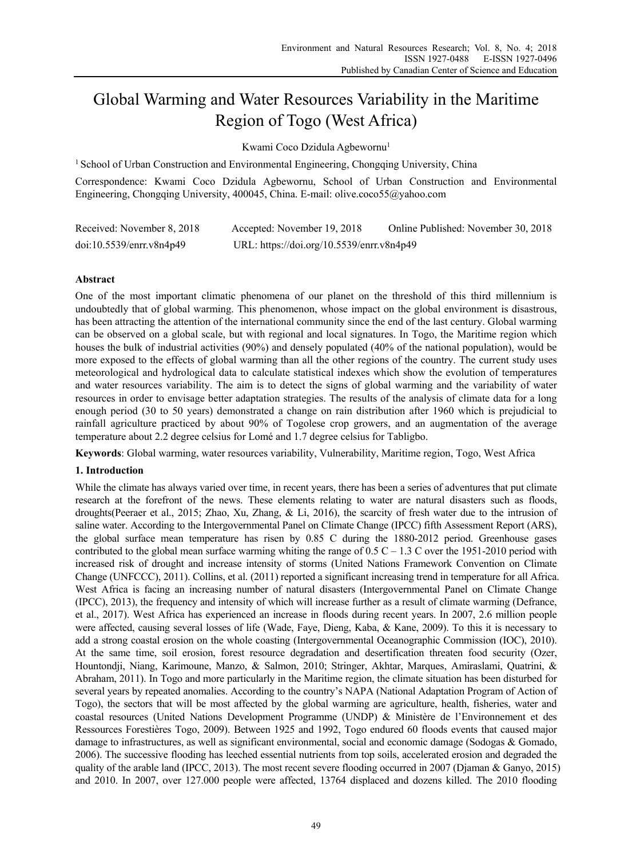# Global Warming and Water Resources Variability in the Maritime Region of Togo (West Africa)

Kwami Coco Dzidula Agbewornu<sup>1</sup>

<sup>1</sup> School of Urban Construction and Environmental Engineering, Chongqing University, China

Correspondence: Kwami Coco Dzidula Agbewornu, School of Urban Construction and Environmental Engineering, Chongqing University, 400045, China. E-mail: olive.coco55@yahoo.com

| Received: November 8, 2018 | Accepted: November 19, 2018               | Online Published: November 30, 2018 |
|----------------------------|-------------------------------------------|-------------------------------------|
| doi:10.5539/enrr.v8n4p49   | URL: https://doi.org/10.5539/enrr.v8n4p49 |                                     |

## **Abstract**

One of the most important climatic phenomena of our planet on the threshold of this third millennium is undoubtedly that of global warming. This phenomenon, whose impact on the global environment is disastrous, has been attracting the attention of the international community since the end of the last century. Global warming can be observed on a global scale, but with regional and local signatures. In Togo, the Maritime region which houses the bulk of industrial activities (90%) and densely populated (40% of the national population), would be more exposed to the effects of global warming than all the other regions of the country. The current study uses meteorological and hydrological data to calculate statistical indexes which show the evolution of temperatures and water resources variability. The aim is to detect the signs of global warming and the variability of water resources in order to envisage better adaptation strategies. The results of the analysis of climate data for a long enough period (30 to 50 years) demonstrated a change on rain distribution after 1960 which is prejudicial to rainfall agriculture practiced by about 90% of Togolese crop growers, and an augmentation of the average temperature about 2.2 degree celsius for Lomé and 1.7 degree celsius for Tabligbo.

**Keywords**: Global warming, water resources variability, Vulnerability, Maritime region, Togo, West Africa

## **1. Introduction**

While the climate has always varied over time, in recent years, there has been a series of adventures that put climate research at the forefront of the news. These elements relating to water are natural disasters such as floods, droughts(Peeraer et al., 2015; Zhao, Xu, Zhang, & Li, 2016), the scarcity of fresh water due to the intrusion of saline water. According to the Intergovernmental Panel on Climate Change (IPCC) fifth Assessment Report (ARS), the global surface mean temperature has risen by 0.85 C during the 1880-2012 period. Greenhouse gases contributed to the global mean surface warming whiting the range of  $0.5 C - 1.3 C$  over the 1951-2010 period with increased risk of drought and increase intensity of storms (United Nations Framework Convention on Climate Change (UNFCCC), 2011). Collins, et al. (2011) reported a significant increasing trend in temperature for all Africa. West Africa is facing an increasing number of natural disasters (Intergovernmental Panel on Climate Change (IPCC), 2013), the frequency and intensity of which will increase further as a result of climate warming (Defrance, et al., 2017). West Africa has experienced an increase in floods during recent years. In 2007, 2.6 million people were affected, causing several losses of life (Wade, Faye, Dieng, Kaba, & Kane, 2009). To this it is necessary to add a strong coastal erosion on the whole coasting (Intergovernmental Oceanographic Commission (IOC), 2010). At the same time, soil erosion, forest resource degradation and desertification threaten food security (Ozer, Hountondji, Niang, Karimoune, Manzo, & Salmon, 2010; Stringer, Akhtar, Marques, Amiraslami, Quatrini, & Abraham, 2011). In Togo and more particularly in the Maritime region, the climate situation has been disturbed for several years by repeated anomalies. According to the country's NAPA (National Adaptation Program of Action of Togo), the sectors that will be most affected by the global warming are agriculture, health, fisheries, water and coastal resources (United Nations Development Programme (UNDP) & Ministère de l'Environnement et des Ressources Forestières Togo, 2009). Between 1925 and 1992, Togo endured 60 floods events that caused major damage to infrastructures, as well as significant environmental, social and economic damage (Sodogas & Gomado, 2006). The successive flooding has leeched essential nutrients from top soils, accelerated erosion and degraded the quality of the arable land (IPCC, 2013). The most recent severe flooding occurred in 2007 (Djaman & Ganyo, 2015) and 2010. In 2007, over 127.000 people were affected, 13764 displaced and dozens killed. The 2010 flooding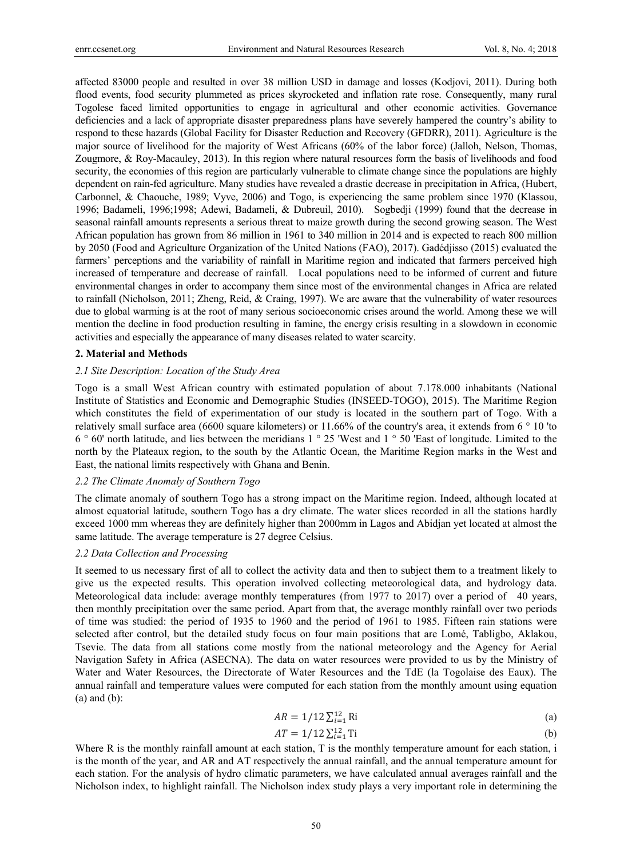affected 83000 people and resulted in over 38 million USD in damage and losses (Kodjovi, 2011). During both flood events, food security plummeted as prices skyrocketed and inflation rate rose. Consequently, many rural Togolese faced limited opportunities to engage in agricultural and other economic activities. Governance deficiencies and a lack of appropriate disaster preparedness plans have severely hampered the country's ability to respond to these hazards (Global Facility for Disaster Reduction and Recovery (GFDRR), 2011). Agriculture is the major source of livelihood for the majority of West Africans (60% of the labor force) (Jalloh, Nelson, Thomas, Zougmore, & Roy-Macauley, 2013). In this region where natural resources form the basis of livelihoods and food security, the economies of this region are particularly vulnerable to climate change since the populations are highly dependent on rain-fed agriculture. Many studies have revealed a drastic decrease in precipitation in Africa, (Hubert, Carbonnel, & Chaouche, 1989; Vyve, 2006) and Togo, is experiencing the same problem since 1970 (Klassou, 1996; Badameli, 1996;1998; Adewi, Badameli, & Dubreuil, 2010). Sogbedji (1999) found that the decrease in seasonal rainfall amounts represents a serious threat to maize growth during the second growing season. The West African population has grown from 86 million in 1961 to 340 million in 2014 and is expected to reach 800 million by 2050 (Food and Agriculture Organization of the United Nations (FAO), 2017). Gadédjisso (2015) evaluated the farmers' perceptions and the variability of rainfall in Maritime region and indicated that farmers perceived high increased of temperature and decrease of rainfall. Local populations need to be informed of current and future environmental changes in order to accompany them since most of the environmental changes in Africa are related to rainfall (Nicholson, 2011; Zheng, Reid, & Craing, 1997). We are aware that the vulnerability of water resources due to global warming is at the root of many serious socioeconomic crises around the world. Among these we will mention the decline in food production resulting in famine, the energy crisis resulting in a slowdown in economic activities and especially the appearance of many diseases related to water scarcity.

#### **2. Material and Methods**

#### *2.1 Site Description: Location of the Study Area*

Togo is a small West African country with estimated population of about 7.178.000 inhabitants (National Institute of Statistics and Economic and Demographic Studies (INSEED-TOGO), 2015). The Maritime Region which constitutes the field of experimentation of our study is located in the southern part of Togo. With a relatively small surface area (6600 square kilometers) or 11.66% of the country's area, it extends from 6 ° 10 'to 6 ° 60' north latitude, and lies between the meridians 1 ° 25 'West and 1 ° 50 'East of longitude. Limited to the north by the Plateaux region, to the south by the Atlantic Ocean, the Maritime Region marks in the West and East, the national limits respectively with Ghana and Benin.

## *2.2 The Climate Anomaly of Southern Togo*

The climate anomaly of southern Togo has a strong impact on the Maritime region. Indeed, although located at almost equatorial latitude, southern Togo has a dry climate. The water slices recorded in all the stations hardly exceed 1000 mm whereas they are definitely higher than 2000mm in Lagos and Abidjan yet located at almost the same latitude. The average temperature is 27 degree Celsius.

## *2.2 Data Collection and Processing*

It seemed to us necessary first of all to collect the activity data and then to subject them to a treatment likely to give us the expected results. This operation involved collecting meteorological data, and hydrology data. Meteorological data include: average monthly temperatures (from 1977 to 2017) over a period of 40 years, then monthly precipitation over the same period. Apart from that, the average monthly rainfall over two periods of time was studied: the period of 1935 to 1960 and the period of 1961 to 1985. Fifteen rain stations were selected after control, but the detailed study focus on four main positions that are Lomé, Tabligbo, Aklakou, Tsevie. The data from all stations come mostly from the national meteorology and the Agency for Aerial Navigation Safety in Africa (ASECNA). The data on water resources were provided to us by the Ministry of Water and Water Resources, the Directorate of Water Resources and the TdE (la Togolaise des Eaux). The annual rainfall and temperature values were computed for each station from the monthly amount using equation (a) and (b):

$$
AR = 1/12 \sum_{i=1}^{12} Ri
$$
 (a)

$$
AT = 1/12 \sum_{i=1}^{12} \text{Ti}
$$
 (b)

Where R is the monthly rainfall amount at each station, T is the monthly temperature amount for each station, i is the month of the year, and AR and AT respectively the annual rainfall, and the annual temperature amount for each station. For the analysis of hydro climatic parameters, we have calculated annual averages rainfall and the Nicholson index, to highlight rainfall. The Nicholson index study plays a very important role in determining the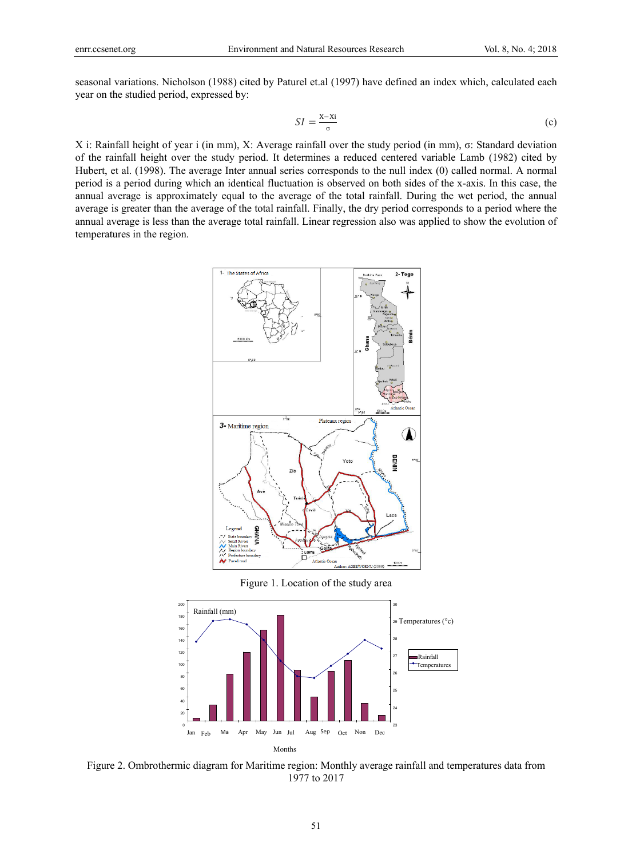seasonal variations. Nicholson (1988) cited by Paturel et.al (1997) have defined an index which, calculated each year on the studied period, expressed by:

$$
SI = \frac{X - Xi}{\sigma} \tag{c}
$$

X i: Rainfall height of year i (in mm), X: Average rainfall over the study period (in mm), σ: Standard deviation of the rainfall height over the study period. It determines a reduced centered variable Lamb (1982) cited by Hubert, et al. (1998). The average Inter annual series corresponds to the null index (0) called normal. A normal period is a period during which an identical fluctuation is observed on both sides of the x-axis. In this case, the annual average is approximately equal to the average of the total rainfall. During the wet period, the annual average is greater than the average of the total rainfall. Finally, the dry period corresponds to a period where the annual average is less than the average total rainfall. Linear regression also was applied to show the evolution of temperatures in the region.



Figure 1. Location of the study area



Figure 2. Ombrothermic diagram for Maritime region: Monthly average rainfall and temperatures data from 1977 to 2017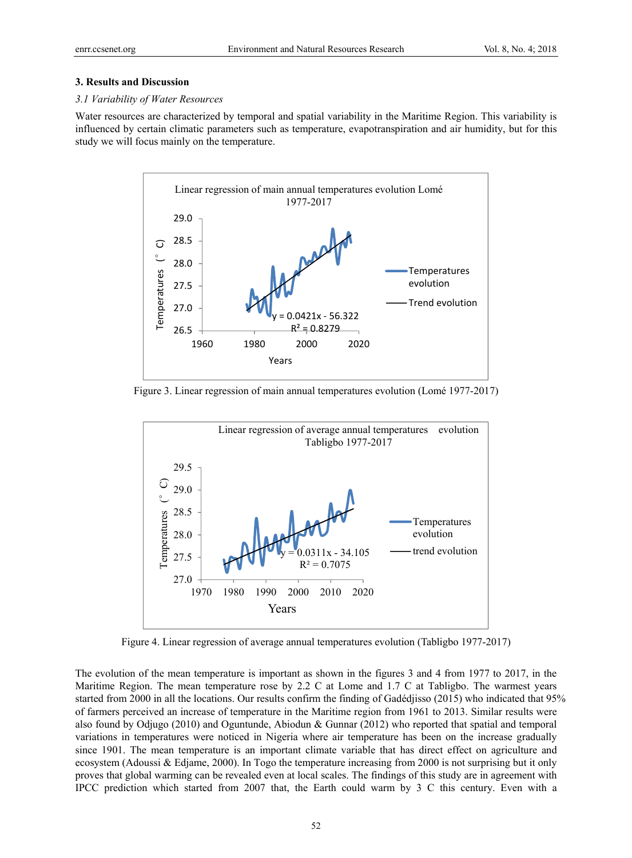#### **3. Results and Discussion**

### *3.1 Variability of Water Resources*

Water resources are characterized by temporal and spatial variability in the Maritime Region. This variability is influenced by certain climatic parameters such as temperature, evapotranspiration and air humidity, but for this study we will focus mainly on the temperature.



Figure 3. Linear regression of main annual temperatures evolution (Lomé 1977-2017)



Figure 4. Linear regression of average annual temperatures evolution (Tabligbo 1977-2017)

The evolution of the mean temperature is important as shown in the figures 3 and 4 from 1977 to 2017, in the Maritime Region. The mean temperature rose by 2.2 C at Lome and 1.7 C at Tabligbo. The warmest years started from 2000 in all the locations. Our results confirm the finding of Gadédjisso (2015) who indicated that 95% of farmers perceived an increase of temperature in the Maritime region from 1961 to 2013. Similar results were also found by Odjugo (2010) and Oguntunde, Abiodun & Gunnar (2012) who reported that spatial and temporal variations in temperatures were noticed in Nigeria where air temperature has been on the increase gradually since 1901. The mean temperature is an important climate variable that has direct effect on agriculture and ecosystem (Adoussi & Edjame, 2000). In Togo the temperature increasing from 2000 is not surprising but it only proves that global warming can be revealed even at local scales. The findings of this study are in agreement with IPCC prediction which started from 2007 that, the Earth could warm by 3 C this century. Even with a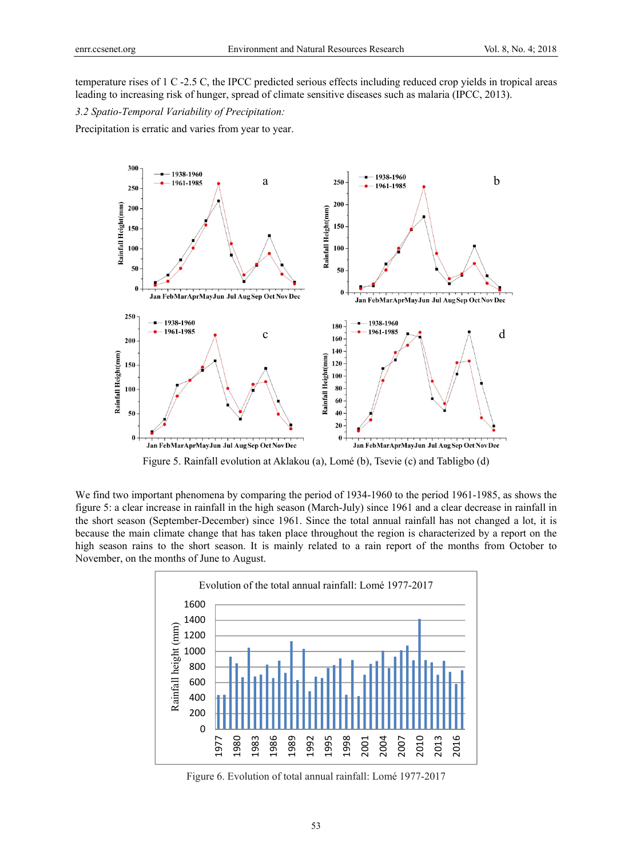temperature rises of 1 C -2.5 C, the IPCC predicted serious effects including reduced crop yields in tropical areas leading to increasing risk of hunger, spread of climate sensitive diseases such as malaria (IPCC, 2013).

*3.2 Spatio-Temporal Variability of Precipitation:* 

Precipitation is erratic and varies from year to year.



Figure 5. Rainfall evolution at Aklakou (a), Lomé (b), Tsevie (c) and Tabligbo (d)

We find two important phenomena by comparing the period of 1934-1960 to the period 1961-1985, as shows the figure 5: a clear increase in rainfall in the high season (March-July) since 1961 and a clear decrease in rainfall in the short season (September-December) since 1961. Since the total annual rainfall has not changed a lot, it is because the main climate change that has taken place throughout the region is characterized by a report on the high season rains to the short season. It is mainly related to a rain report of the months from October to November, on the months of June to August.



Figure 6. Evolution of total annual rainfall: Lomé 1977-2017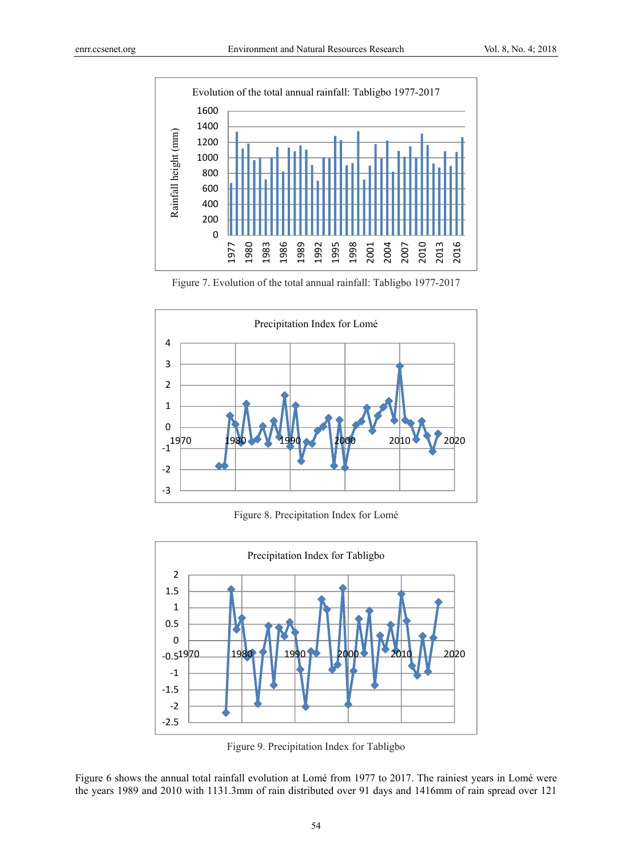

Figure 7. Evolution of the total annual rainfall: Tabligbo 1977-2017



Figure 8. Precipitation Index for Lomé



Figure 9. Precipitation Index for Tabligbo

Figure 6 shows the annual total rainfall evolution at Lomé from 1977 to 2017. The rainiest years in Lomé were the years 1989 and 2010 with 1131.3mm of rain distributed over 91 days and 1416mm of rain spread over 121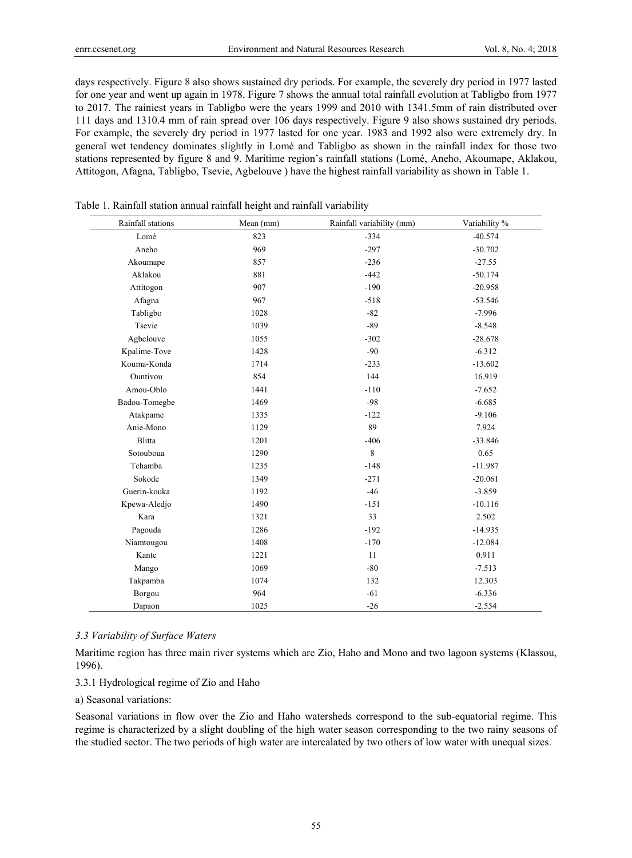days respectively. Figure 8 also shows sustained dry periods. For example, the severely dry period in 1977 lasted for one year and went up again in 1978. Figure 7 shows the annual total rainfall evolution at Tabligbo from 1977 to 2017. The rainiest years in Tabligbo were the years 1999 and 2010 with 1341.5mm of rain distributed over 111 days and 1310.4 mm of rain spread over 106 days respectively. Figure 9 also shows sustained dry periods. For example, the severely dry period in 1977 lasted for one year. 1983 and 1992 also were extremely dry. In general wet tendency dominates slightly in Lomé and Tabligbo as shown in the rainfall index for those two stations represented by figure 8 and 9. Maritime region's rainfall stations (Lomé, Aneho, Akoumape, Aklakou, Attitogon, Afagna, Tabligbo, Tsevie, Agbelouve ) have the highest rainfall variability as shown in Table 1.

| Rainfall stations | Mean (mm) | Rainfall variability (mm) | Variability % |
|-------------------|-----------|---------------------------|---------------|
| Lomé              | 823       | $-334$                    | $-40.574$     |
| Aneho             | 969       | $-297$                    | $-30.702$     |
| Akoumape          | 857       | $-236$                    | $-27.55$      |
| Aklakou           | 881       | $-442$                    | $-50.174$     |
| Attitogon         | 907       | $-190$                    | $-20.958$     |
| Afagna            | 967       | $-518$                    | $-53.546$     |
| Tabligbo          | 1028      | $-82$                     | $-7.996$      |
| Tsevie            | 1039      | $-89$                     | $-8.548$      |
| Agbelouve         | 1055      | $-302$                    | $-28.678$     |
| Kpalime-Tove      | 1428      | $-90$                     | $-6.312$      |
| Kouma-Konda       | 1714      | $-233$                    | $-13.602$     |
| Ountivou          | 854       | 144                       | 16.919        |
| Amou-Oblo         | 1441      | $-110$                    | $-7.652$      |
| Badou-Tomegbe     | 1469      | $-98$                     | $-6.685$      |
| Atakpame          | 1335      | $-122$                    | $-9.106$      |
| Anie-Mono         | 1129      | 89                        | 7.924         |
| Blitta            | 1201      | $-406$                    | $-33.846$     |
| Sotouboua         | 1290      | 8                         | 0.65          |
| Tchamba           | 1235      | $-148$                    | $-11.987$     |
| Sokode            | 1349      | $-271$                    | $-20.061$     |
| Guerin-kouka      | 1192      | $-46$                     | $-3.859$      |
| Kpewa-Aledjo      | 1490      | $-151$                    | $-10.116$     |
| Kara              | 1321      | 33                        | 2.502         |
| Pagouda           | 1286      | $-192$                    | $-14.935$     |
| Niamtougou        | 1408      | $-170$                    | $-12.084$     |
| Kante             | 1221      | 11                        | 0.911         |
| Mango             | 1069      | $-80$                     | $-7.513$      |
| Takpamba          | 1074      | 132                       | 12.303        |
| Borgou            | 964       | $-61$                     | $-6.336$      |
| Dapaon            | 1025      | $-26$                     | $-2.554$      |

Table 1. Rainfall station annual rainfall height and rainfall variability

#### *3.3 Variability of Surface Waters*

Maritime region has three main river systems which are Zio, Haho and Mono and two lagoon systems (Klassou, 1996).

#### 3.3.1 Hydrological regime of Zio and Haho

a) Seasonal variations:

Seasonal variations in flow over the Zio and Haho watersheds correspond to the sub-equatorial regime. This regime is characterized by a slight doubling of the high water season corresponding to the two rainy seasons of the studied sector. The two periods of high water are intercalated by two others of low water with unequal sizes.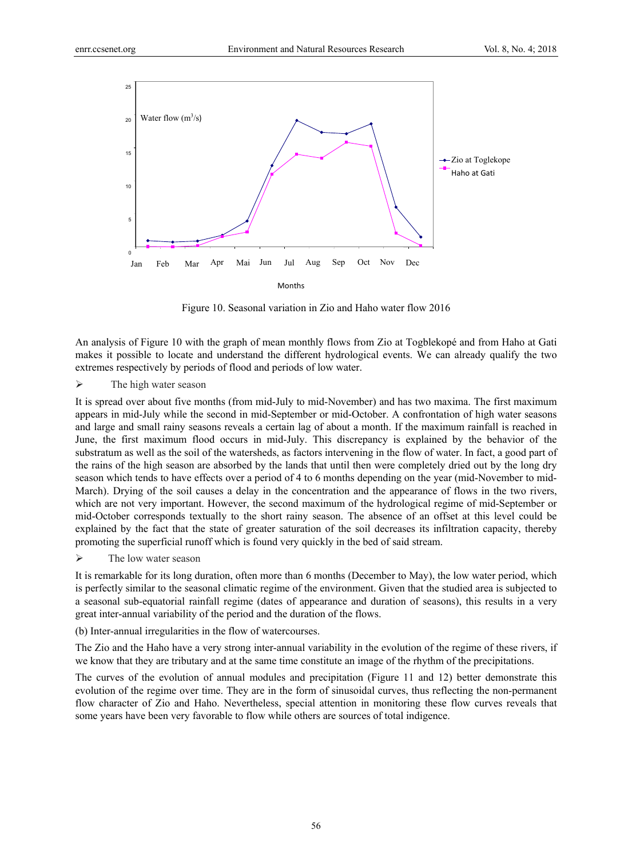

Figure 10. Seasonal variation in Zio and Haho water flow 2016

An analysis of Figure 10 with the graph of mean monthly flows from Zio at Togblekopé and from Haho at Gati makes it possible to locate and understand the different hydrological events. We can already qualify the two extremes respectively by periods of flood and periods of low water.

 $\triangleright$  The high water season

It is spread over about five months (from mid-July to mid-November) and has two maxima. The first maximum appears in mid-July while the second in mid-September or mid-October. A confrontation of high water seasons and large and small rainy seasons reveals a certain lag of about a month. If the maximum rainfall is reached in June, the first maximum flood occurs in mid-July. This discrepancy is explained by the behavior of the substratum as well as the soil of the watersheds, as factors intervening in the flow of water. In fact, a good part of the rains of the high season are absorbed by the lands that until then were completely dried out by the long dry season which tends to have effects over a period of 4 to 6 months depending on the year (mid-November to mid-March). Drying of the soil causes a delay in the concentration and the appearance of flows in the two rivers, which are not very important. However, the second maximum of the hydrological regime of mid-September or mid-October corresponds textually to the short rainy season. The absence of an offset at this level could be explained by the fact that the state of greater saturation of the soil decreases its infiltration capacity, thereby promoting the superficial runoff which is found very quickly in the bed of said stream.

 $\triangleright$  The low water season

It is remarkable for its long duration, often more than 6 months (December to May), the low water period, which is perfectly similar to the seasonal climatic regime of the environment. Given that the studied area is subjected to a seasonal sub-equatorial rainfall regime (dates of appearance and duration of seasons), this results in a very great inter-annual variability of the period and the duration of the flows.

(b) Inter-annual irregularities in the flow of watercourses.

The Zio and the Haho have a very strong inter-annual variability in the evolution of the regime of these rivers, if we know that they are tributary and at the same time constitute an image of the rhythm of the precipitations.

The curves of the evolution of annual modules and precipitation (Figure 11 and 12) better demonstrate this evolution of the regime over time. They are in the form of sinusoidal curves, thus reflecting the non-permanent flow character of Zio and Haho. Nevertheless, special attention in monitoring these flow curves reveals that some years have been very favorable to flow while others are sources of total indigence.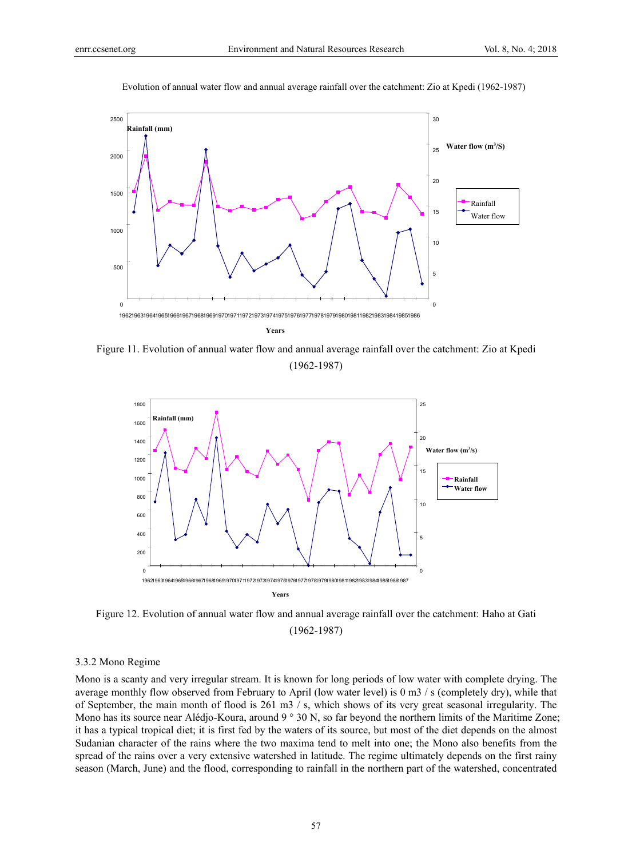

Evolution of annual water flow and annual average rainfall over the catchment: Zio at Kpedi (1962-1987)

Figure 11. Evolution of annual water flow and annual average rainfall over the catchment: Zio at Kpedi (1962-1987)



Figure 12. Evolution of annual water flow and annual average rainfall over the catchment: Haho at Gati (1962-1987)

#### 3.3.2 Mono Regime

Mono is a scanty and very irregular stream. It is known for long periods of low water with complete drying. The average monthly flow observed from February to April (low water level) is 0 m3 / s (completely dry), while that of September, the main month of flood is 261 m3 / s, which shows of its very great seasonal irregularity. The Mono has its source near Alédjo-Koura, around 9 ° 30 N, so far beyond the northern limits of the Maritime Zone; it has a typical tropical diet; it is first fed by the waters of its source, but most of the diet depends on the almost Sudanian character of the rains where the two maxima tend to melt into one; the Mono also benefits from the spread of the rains over a very extensive watershed in latitude. The regime ultimately depends on the first rainy season (March, June) and the flood, corresponding to rainfall in the northern part of the watershed, concentrated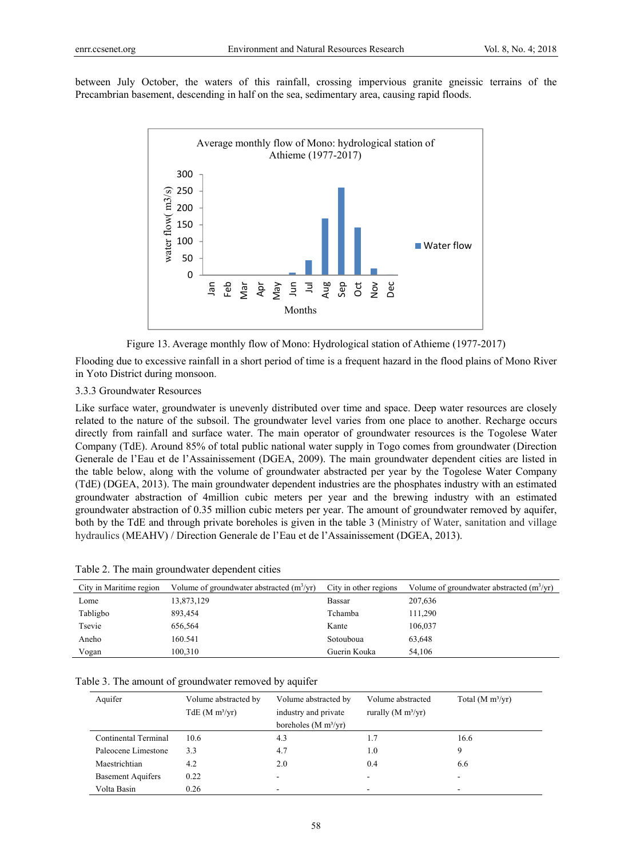between July October, the waters of this rainfall, crossing impervious granite gneissic terrains of the Precambrian basement, descending in half on the sea, sedimentary area, causing rapid floods.



Figure 13. Average monthly flow of Mono: Hydrological station of Athieme (1977-2017)

Flooding due to excessive rainfall in a short period of time is a frequent hazard in the flood plains of Mono River in Yoto District during monsoon.

### 3.3.3 Groundwater Resources

Like surface water, groundwater is unevenly distributed over time and space. Deep water resources are closely related to the nature of the subsoil. The groundwater level varies from one place to another. Recharge occurs directly from rainfall and surface water. The main operator of groundwater resources is the Togolese Water Company (TdE). Around 85% of total public national water supply in Togo comes from groundwater (Direction Generale de l'Eau et de l'Assainissement (DGEA, 2009). The main groundwater dependent cities are listed in the table below, along with the volume of groundwater abstracted per year by the Togolese Water Company (TdE) (DGEA, 2013). The main groundwater dependent industries are the phosphates industry with an estimated groundwater abstraction of 4million cubic meters per year and the brewing industry with an estimated groundwater abstraction of 0.35 million cubic meters per year. The amount of groundwater removed by aquifer, both by the TdE and through private boreholes is given in the table 3 (Ministry of Water, sanitation and village hydraulics (MEAHV) / Direction Generale de l'Eau et de l'Assainissement (DGEA, 2013).

| City in Maritime region | Volume of groundwater abstracted $(m^3/yr)$ | City in other regions | Volume of groundwater abstracted $(m^3/yr)$ |
|-------------------------|---------------------------------------------|-----------------------|---------------------------------------------|
| Lome                    | 13,873,129                                  | Bassar                | 207,636                                     |
| Tabligbo                | 893,454                                     | Tchamba               | 111,290                                     |
| Tsevie                  | 656,564                                     | Kante                 | 106,037                                     |
| Aneho                   | 160.541                                     | Sotouboua             | 63,648                                      |
| Vogan                   | 100.310                                     | Guerin Kouka          | 54,106                                      |

|  | Table 2. The main groundwater dependent cities |  |
|--|------------------------------------------------|--|
|  |                                                |  |

|  | Table 3. The amount of groundwater removed by aquifer |
|--|-------------------------------------------------------|
|  |                                                       |

| Aquifer                  | Volume abstracted by<br>$TdE$ (M m <sup>3</sup> /yr) | Volume abstracted by<br>industry and private | Volume abstracted<br>rurally $(M m3/yr)$ | Total $(M m3/yr)$ |
|--------------------------|------------------------------------------------------|----------------------------------------------|------------------------------------------|-------------------|
|                          |                                                      | boreholes (M $m^3/yr$ )                      |                                          |                   |
| Continental Terminal     | 10.6                                                 | 4.3                                          | 1.7                                      | 16.6              |
| Paleocene Limestone      | 3.3                                                  | 4.7                                          | 1.0                                      |                   |
| Maestrichtian            | 4.2                                                  | 2.0                                          | 0.4                                      | 6.6               |
| <b>Basement Aquifers</b> | 0.22                                                 |                                              | ۰                                        |                   |
| Volta Basin              | 0.26                                                 |                                              | -                                        |                   |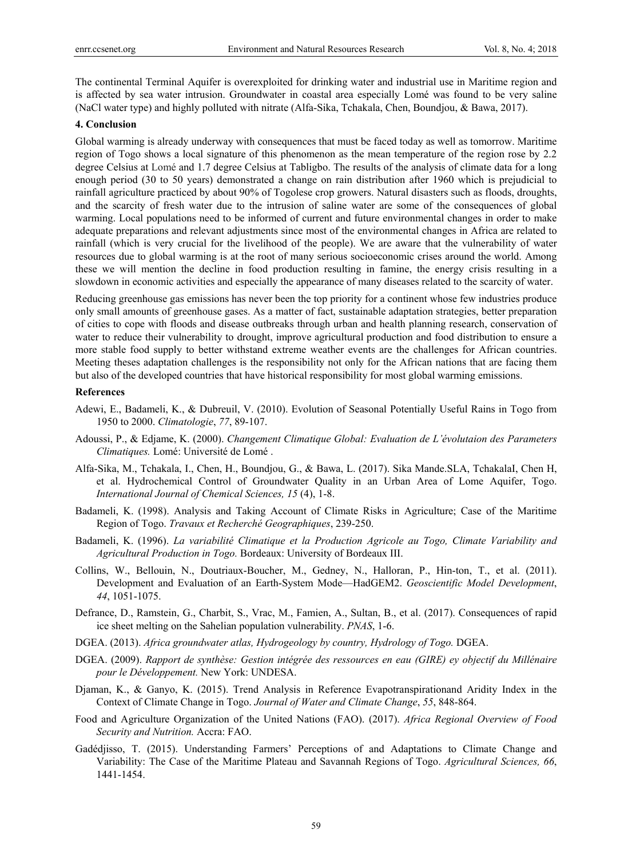The continental Terminal Aquifer is overexploited for drinking water and industrial use in Maritime region and is affected by sea water intrusion. Groundwater in coastal area especially Lomé was found to be very saline (NaCl water type) and highly polluted with nitrate (Alfa-Sika, Tchakala, Chen, Boundjou, & Bawa, 2017).

#### **4. Conclusion**

Global warming is already underway with consequences that must be faced today as well as tomorrow. Maritime region of Togo shows a local signature of this phenomenon as the mean temperature of the region rose by 2.2 degree Celsius at Lomé and 1.7 degree Celsius at Tabligbo. The results of the analysis of climate data for a long enough period (30 to 50 years) demonstrated a change on rain distribution after 1960 which is prejudicial to rainfall agriculture practiced by about 90% of Togolese crop growers. Natural disasters such as floods, droughts, and the scarcity of fresh water due to the intrusion of saline water are some of the consequences of global warming. Local populations need to be informed of current and future environmental changes in order to make adequate preparations and relevant adjustments since most of the environmental changes in Africa are related to rainfall (which is very crucial for the livelihood of the people). We are aware that the vulnerability of water resources due to global warming is at the root of many serious socioeconomic crises around the world. Among these we will mention the decline in food production resulting in famine, the energy crisis resulting in a slowdown in economic activities and especially the appearance of many diseases related to the scarcity of water.

Reducing greenhouse gas emissions has never been the top priority for a continent whose few industries produce only small amounts of greenhouse gases. As a matter of fact, sustainable adaptation strategies, better preparation of cities to cope with floods and disease outbreaks through urban and health planning research, conservation of water to reduce their vulnerability to drought, improve agricultural production and food distribution to ensure a more stable food supply to better withstand extreme weather events are the challenges for African countries. Meeting theses adaptation challenges is the responsibility not only for the African nations that are facing them but also of the developed countries that have historical responsibility for most global warming emissions.

## **References**

- Adewi, E., Badameli, K., & Dubreuil, V. (2010). Evolution of Seasonal Potentially Useful Rains in Togo from 1950 to 2000. *Climatologie*, *77*, 89-107.
- Adoussi, P., & Edjame, K. (2000). *Changement Climatique Global: Evaluation de L'évolutaion des Parameters Climatiques.* Lomé: Université de Lomé .
- Alfa-Sika, M., Tchakala, I., Chen, H., Boundjou, G., & Bawa, L. (2017). Sika Mande.SLA, TchakalaI, Chen H, et al. Hydrochemical Control of Groundwater Quality in an Urban Area of Lome Aquifer, Togo. *International Journal of Chemical Sciences, 15* (4), 1-8.
- Badameli, K. (1998). Analysis and Taking Account of Climate Risks in Agriculture; Case of the Maritime Region of Togo. *Travaux et Recherché Geographiques*, 239-250.
- Badameli, K. (1996). *La variabilité Climatique et la Production Agricole au Togo, Climate Variability and Agricultural Production in Togo.* Bordeaux: University of Bordeaux III.
- Collins, W., Bellouin, N., Doutriaux-Boucher, M., Gedney, N., Halloran, P., Hin-ton, T., et al. (2011). Development and Evaluation of an Earth-System Mode—HadGEM2. *Geoscientific Model Development*, *44*, 1051-1075.
- Defrance, D., Ramstein, G., Charbit, S., Vrac, M., Famien, A., Sultan, B., et al. (2017). Consequences of rapid ice sheet melting on the Sahelian population vulnerability. *PNAS*, 1-6.
- DGEA. (2013). *Africa groundwater atlas, Hydrogeology by country, Hydrology of Togo.* DGEA.
- DGEA. (2009). *Rapport de synthèse: Gestion intégrée des ressources en eau (GIRE) ey objectif du Millénaire pour le Développement.* New York: UNDESA.
- Djaman, K., & Ganyo, K. (2015). Trend Analysis in Reference Evapotranspirationand Aridity Index in the Context of Climate Change in Togo. *Journal of Water and Climate Change*, *55*, 848-864.
- Food and Agriculture Organization of the United Nations (FAO). (2017). *Africa Regional Overview of Food Security and Nutrition.* Accra: FAO.
- Gadédjisso, T. (2015). Understanding Farmers' Perceptions of and Adaptations to Climate Change and Variability: The Case of the Maritime Plateau and Savannah Regions of Togo. *Agricultural Sciences, 66*, 1441-1454.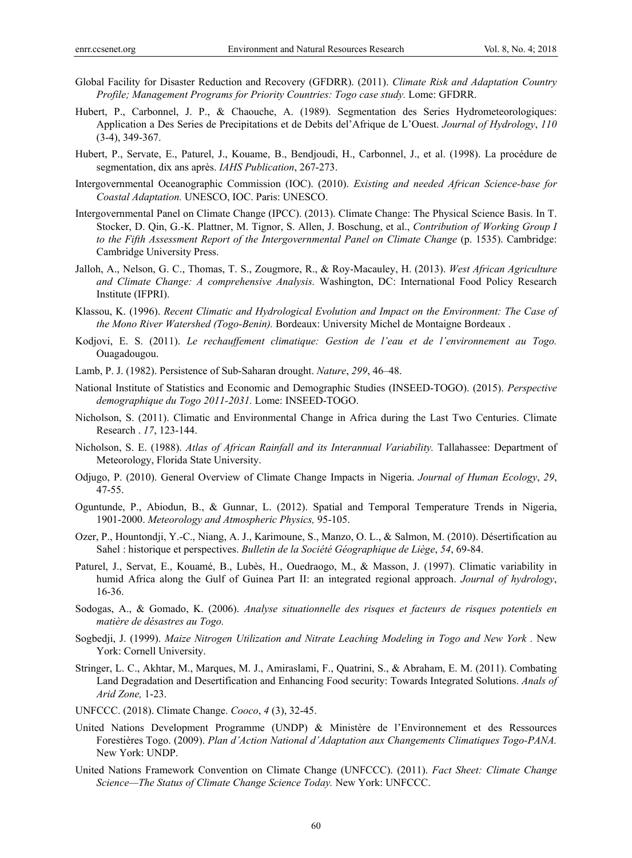- Global Facility for Disaster Reduction and Recovery (GFDRR). (2011). *Climate Risk and Adaptation Country Profile; Management Programs for Priority Countries: Togo case study.* Lome: GFDRR.
- Hubert, P., Carbonnel, J. P., & Chaouche, A. (1989). Segmentation des Series Hydrometeorologiques: Application a Des Series de Precipitations et de Debits del'Afrique de L'Ouest. *Journal of Hydrology*, *110* (3-4), 349-367.
- Hubert, P., Servate, E., Paturel, J., Kouame, B., Bendjoudi, H., Carbonnel, J., et al. (1998). La procédure de segmentation, dix ans après. *IAHS Publication*, 267-273.
- Intergovernmental Oceanographic Commission (IOC). (2010). *Existing and needed African Science-base for Coastal Adaptation.* UNESCO, IOC. Paris: UNESCO.
- Intergovernmental Panel on Climate Change (IPCC). (2013). Climate Change: The Physical Science Basis. In T. Stocker, D. Qin, G.-K. Plattner, M. Tignor, S. Allen, J. Boschung, et al., *Contribution of Working Group I to the Fifth Assessment Report of the Intergovernmental Panel on Climate Change* (p. 1535). Cambridge: Cambridge University Press.
- Jalloh, A., Nelson, G. C., Thomas, T. S., Zougmore, R., & Roy-Macauley, H. (2013). *West African Agriculture and Climate Change: A comprehensive Analysis.* Washington, DC: International Food Policy Research Institute (IFPRI).
- Klassou, K. (1996). *Recent Climatic and Hydrological Evolution and Impact on the Environment: The Case of the Mono River Watershed (Togo-Benin).* Bordeaux: University Michel de Montaigne Bordeaux .
- Kodjovi, E. S. (2011). *Le rechauffement climatique: Gestion de l'eau et de l'environnement au Togo.* Ouagadougou.
- Lamb, P. J. (1982). Persistence of Sub-Saharan drought. *Nature*, *299*, 46–48.
- National Institute of Statistics and Economic and Demographic Studies (INSEED-TOGO). (2015). *Perspective demographique du Togo 2011-2031.* Lome: INSEED-TOGO.
- Nicholson, S. (2011). Climatic and Environmental Change in Africa during the Last Two Centuries. Climate Research . *17*, 123-144.
- Nicholson, S. E. (1988). *Atlas of African Rainfall and its Interannual Variability.* Tallahassee: Department of Meteorology, Florida State University.
- Odjugo, P. (2010). General Overview of Climate Change Impacts in Nigeria. *Journal of Human Ecology*, *29*, 47-55.
- Oguntunde, P., Abiodun, B., & Gunnar, L. (2012). Spatial and Temporal Temperature Trends in Nigeria, 1901-2000. *Meteorology and Atmospheric Physics,* 95-105.
- Ozer, P., Hountondji, Y.-C., Niang, A. J., Karimoune, S., Manzo, O. L., & Salmon, M. (2010). Désertification au Sahel : historique et perspectives. *Bulletin de la Société Géographique de Liège*, *54*, 69-84.
- Paturel, J., Servat, E., Kouamé, B., Lubès, H., Ouedraogo, M., & Masson, J. (1997). Climatic variability in humid Africa along the Gulf of Guinea Part II: an integrated regional approach. *Journal of hydrology*, 16-36.
- Sodogas, A., & Gomado, K. (2006). *Analyse situationnelle des risques et facteurs de risques potentiels en matière de désastres au Togo.*
- Sogbedji, J. (1999). *Maize Nitrogen Utilization and Nitrate Leaching Modeling in Togo and New York .* New York: Cornell University.
- Stringer, L. C., Akhtar, M., Marques, M. J., Amiraslami, F., Quatrini, S., & Abraham, E. M. (2011). Combating Land Degradation and Desertification and Enhancing Food security: Towards Integrated Solutions. *Anals of Arid Zone,* 1-23.
- UNFCCC. (2018). Climate Change. *Cooco*, *4* (3), 32-45.
- United Nations Development Programme (UNDP) & Ministère de l'Environnement et des Ressources Forestières Togo. (2009). *Plan d'Action National d'Adaptation aux Changements Climatiques Togo-PANA.* New York: UNDP.
- United Nations Framework Convention on Climate Change (UNFCCC). (2011). *Fact Sheet: Climate Change Science—The Status of Climate Change Science Today.* New York: UNFCCC.